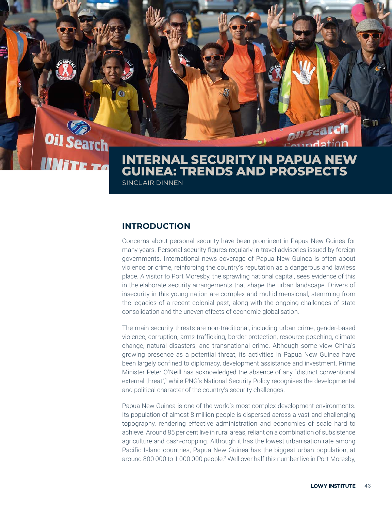# **Oil Search Nite To**

## **INTERNAL SECURITY IN PAPUA NEW GUINEA: TRENDS AND PROSPECTS** SINCLAIR DINNEN

on search

**undation** 

## **INTRODUCTION**

Concerns about personal security have been prominent in Papua New Guinea for many years. Personal security figures regularly in travel advisories issued by foreign governments. International news coverage of Papua New Guinea is often about violence or crime, reinforcing the country's reputation as a dangerous and lawless place. A visitor to Port Moresby, the sprawling national capital, sees evidence of this in the elaborate security arrangements that shape the urban landscape. Drivers of insecurity in this young nation are complex and multidimensional, stemming from the legacies of a recent colonial past, along with the ongoing challenges of state consolidation and the uneven effects of economic globalisation.

The main security threats are non-traditional, including urban crime, gender-based violence, corruption, arms trafficking, border protection, resource poaching, climate change, natural disasters, and transnational crime. Although some view China's growing presence as a potential threat, its activities in Papua New Guinea have been largely confined to diplomacy, development assistance and investment. Prime Minister Peter O'Neill has acknowledged the absence of any "distinct conventional external threat",<sup>1</sup> while PNG's National Security Policy recognises the developmental and political character of the country's security challenges.

Papua New Guinea is one of the world's most complex development environments. Its population of almost 8 million people is dispersed across a vast and challenging topography, rendering effective administration and economies of scale hard to achieve. Around 85 per cent live in rural areas, reliant on a combination of subsistence agriculture and cash-cropping. Although it has the lowest urbanisation rate among Pacific Island countries, Papua New Guinea has the biggest urban population, at around 800 000 to 1 000 000 people.<sup>2</sup> Well over half this number live in Port Moresby,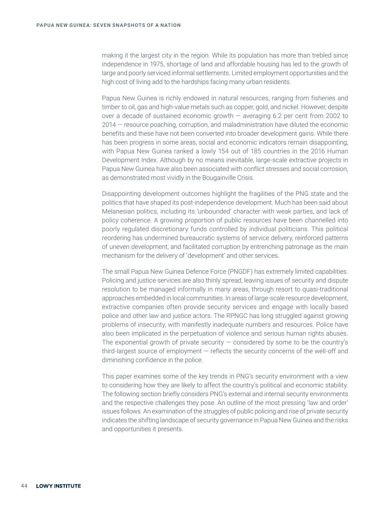making it the largest city in the region. While its population has more than trebled since independence in 1975, shortage of land and affordable housing has led to the growth of large and poorly serviced informal settlements. Limited employment opportunities and the high cost of living add to the hardships facing many urban residents.

Papua New Guinea is richly endowed in natural resources, ranging from fisheries and timber to oil, gas and high-value metals such as copper, gold, and nickel. However, despite over a decade of sustained economic growth — averaging 6.2 per cent from 2002 to 2014 — resource poaching, corruption, and maladministration have diluted the economic benefits and these have not been converted into broader development gains. While there has been progress in some areas, social and economic indicators remain disappointing, with Papua New Guinea ranked a lowly 154 out of 185 countries in the 2016 Human Development Index. Although by no means inevitable, large-scale extractive projects in Papua New Guinea have also been associated with conflict stresses and social corrosion, as demonstrated most vividly in the Bougainville Crisis.

Disappointing development outcomes highlight the fragilities of the PNG state and the politics that have shaped its post-independence development. Much has been said about Melanesian politics, including its 'unbounded' character with weak parties, and lack of policy coherence. A growing proportion of public resources have been channelled into poorly regulated discretionary funds controlled by individual politicians. This political reordering has undermined bureaucratic systems of service delivery, reinforced patterns of uneven development, and facilitated corruption by entrenching patronage as the main mechanism for the delivery of 'development' and other services.

The small Papua New Guinea Defence Force (PNGDF) has extremely limited capabilities. Policing and justice services are also thinly spread, leaving issues of security and dispute resolution to be managed informally in many areas, through resort to quasi-traditional approaches embedded in local communities. In areas of large-scale resource development, extractive companies often provide security services and engage with locally based police and other law and justice actors. The RPNGC has long struggled against growing problems of insecurity, with manifestly inadequate numbers and resources. Police have also been implicated in the perpetuation of violence and serious human rights abuses. The exponential growth of private security  $-$  considered by some to be the country's third-largest source of employment — reflects the security concerns of the well-off and diminishing confidence in the police.

This paper examines some of the key trends in PNG's security environment with a view to considering how they are likely to affect the country's political and economic stability. The following section briefly considers PNG's external and internal security environments and the respective challenges they pose. An outline of the most pressing 'law and order' issues follows. An examination of the struggles of public policing and rise of private security indicates the shifting landscape of security governance in Papua New Guinea and the risks and opportunities it presents.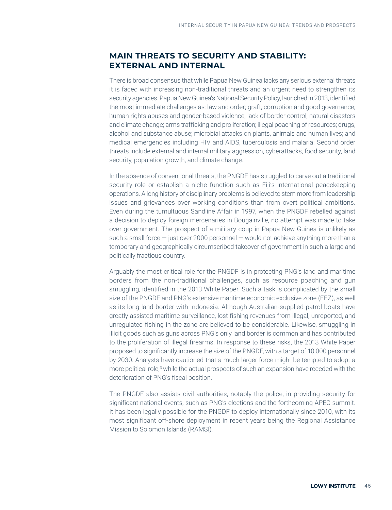## **MAIN THREATS TO SECURITY AND STABILITY: EXTERNAL AND INTERNAL**

There is broad consensus that while Papua New Guinea lacks any serious external threats it is faced with increasing non-traditional threats and an urgent need to strengthen its security agencies. Papua New Guinea's National Security Policy, launched in 2013, identified the most immediate challenges as: law and order; graft, corruption and good governance; human rights abuses and gender-based violence; lack of border control; natural disasters and climate change; arms trafficking and proliferation; illegal poaching of resources; drugs, alcohol and substance abuse; microbial attacks on plants, animals and human lives; and medical emergencies including HIV and AIDS, tuberculosis and malaria. Second order threats include external and internal military aggression, cyberattacks, food security, land security, population growth, and climate change.

In the absence of conventional threats, the PNGDF has struggled to carve out a traditional security role or establish a niche function such as Fiji's international peacekeeping operations. A long history of disciplinary problems is believed to stem more from leadership issues and grievances over working conditions than from overt political ambitions. Even during the tumultuous Sandline Affair in 1997, when the PNGDF rebelled against a decision to deploy foreign mercenaries in Bougainville, no attempt was made to take over government. The prospect of a military coup in Papua New Guinea is unlikely as such a small force  $-$  just over 2000 personnel  $-$  would not achieve anything more than a temporary and geographically circumscribed takeover of government in such a large and politically fractious country.

Arguably the most critical role for the PNGDF is in protecting PNG's land and maritime borders from the non-traditional challenges, such as resource poaching and gun smuggling, identified in the 2013 White Paper. Such a task is complicated by the small size of the PNGDF and PNG's extensive maritime economic exclusive zone (EEZ), as well as its long land border with Indonesia. Although Australian-supplied patrol boats have greatly assisted maritime surveillance, lost fishing revenues from illegal, unreported, and unregulated fishing in the zone are believed to be considerable. Likewise, smuggling in illicit goods such as guns across PNG's only land border is common and has contributed to the proliferation of illegal firearms. In response to these risks, the 2013 White Paper proposed to significantly increase the size of the PNGDF, with a target of 10 000 personnel by 2030. Analysts have cautioned that a much larger force might be tempted to adopt a more political role,<sup>3</sup> while the actual prospects of such an expansion have receded with the deterioration of PNG's fiscal position.

The PNGDF also assists civil authorities, notably the police, in providing security for significant national events, such as PNG's elections and the forthcoming APEC summit. It has been legally possible for the PNGDF to deploy internationally since 2010, with its most significant off-shore deployment in recent years being the Regional Assistance Mission to Solomon Islands (RAMSI).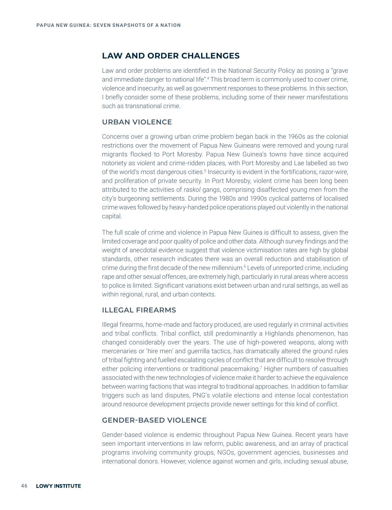### **LAW AND ORDER CHALLENGES**

Law and order problems are identified in the National Security Policy as posing a "grave and immediate danger to national life".4 This broad term is commonly used to cover crime, violence and insecurity, as well as government responses to these problems. In this section, I briefly consider some of these problems, including some of their newer manifestations such as transnational crime.

#### **URBAN VIOLENCE**

Concerns over a growing urban crime problem began back in the 1960s as the colonial restrictions over the movement of Papua New Guineans were removed and young rural migrants flocked to Port Moresby. Papua New Guinea's towns have since acquired notoriety as violent and crime-ridden places, with Port Moresby and Lae labelled as two of the world's most dangerous cities.<sup>5</sup> Insecurity is evident in the fortifications, razor-wire, and proliferation of private security. In Port Moresby, violent crime has been long been attributed to the activities of *raskol* gangs, comprising disaffected young men from the city's burgeoning settlements. During the 1980s and 1990s cyclical patterns of localised crime waves followed by heavy-handed police operations played out violently in the national capital.

The full scale of crime and violence in Papua New Guinea is difficult to assess, given the limited coverage and poor quality of police and other data. Although survey findings and the weight of anecdotal evidence suggest that violence victimisation rates are high by global standards, other research indicates there was an overall reduction and stabilisation of crime during the first decade of the new millennium.<sup>6</sup> Levels of unreported crime, including rape and other sexual offences, are extremely high, particularly in rural areas where access to police is limited. Significant variations exist between urban and rural settings, as well as within regional, rural, and urban contexts.

#### **ILLEGAL FIREARMS**

Illegal firearms, home-made and factory produced, are used regularly in criminal activities and tribal conflicts. Tribal conflict, still predominantly a Highlands phenomenon, has changed considerably over the years. The use of high-powered weapons, along with mercenaries or 'hire men' and guerrilla tactics, has dramatically altered the ground rules of tribal fighting and fuelled escalating cycles of conflict that are difficult to resolve through either policing interventions or traditional peacemaking.<sup>7</sup> Higher numbers of casualties associated with the new technologies of violence make it harder to achieve the equivalence between warring factions that was integral to traditional approaches. In addition to familiar triggers such as land disputes, PNG's volatile elections and intense local contestation around resource development projects provide newer settings for this kind of conflict.

#### **GENDER-BASED VIOLENCE**

Gender-based violence is endemic throughout Papua New Guinea. Recent years have seen important interventions in law reform, public awareness, and an array of practical programs involving community groups, NGOs, government agencies, businesses and international donors. However, violence against women and girls, including sexual abuse,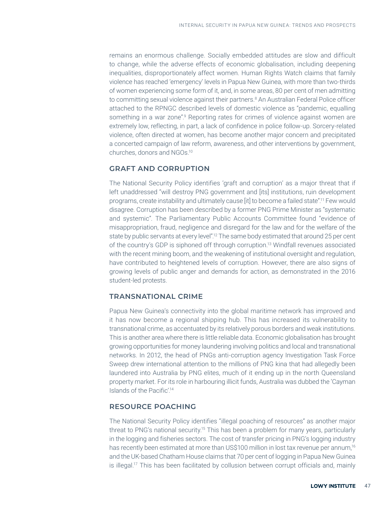remains an enormous challenge. Socially embedded attitudes are slow and difficult to change, while the adverse effects of economic globalisation, including deepening inequalities, disproportionately affect women. Human Rights Watch claims that family violence has reached 'emergency' levels in Papua New Guinea, with more than two-thirds of women experiencing some form of it, and, in some areas, 80 per cent of men admitting to committing sexual violence against their partners.8 An Australian Federal Police officer attached to the RPNGC described levels of domestic violence as "pandemic, equalling something in a war zone".<sup>9</sup> Reporting rates for crimes of violence against women are extremely low, reflecting, in part, a lack of confidence in police follow-up. Sorcery-related violence, often directed at women, has become another major concern and precipitated a concerted campaign of law reform, awareness, and other interventions by government, churches, donors and NGOs.10

#### **GRAFT AND CORRUPTION**

The National Security Policy identifies 'graft and corruption' as a major threat that if left unaddressed "will destroy PNG government and [its] institutions, ruin development programs, create instability and ultimately cause [it] to become a failed state".11 Few would disagree. Corruption has been described by a former PNG Prime Minister as "systematic and systemic". The Parliamentary Public Accounts Committee found "evidence of misappropriation, fraud, negligence and disregard for the law and for the welfare of the state by public servants at every level".12 The same body estimated that around 25 per cent of the country's GDP is siphoned off through corruption.13 Windfall revenues associated with the recent mining boom, and the weakening of institutional oversight and regulation, have contributed to heightened levels of corruption. However, there are also signs of growing levels of public anger and demands for action, as demonstrated in the 2016 student-led protests.

#### **TRANSNATIONAL CRIME**

Papua New Guinea's connectivity into the global maritime network has improved and it has now become a regional shipping hub. This has increased its vulnerability to transnational crime, as accentuated by its relatively porous borders and weak institutions. This is another area where there is little reliable data. Economic globalisation has brought growing opportunities for money laundering involving politics and local and transnational networks. In 2012, the head of PNGs anti-corruption agency Investigation Task Force Sweep drew international attention to the millions of PNG kina that had allegedly been laundered into Australia by PNG elites, much of it ending up in the north Queensland property market. For its role in harbouring illicit funds, Australia was dubbed the 'Cayman Islands of the Pacific'.14

#### **RESOURCE POACHING**

The National Security Policy identifies "illegal poaching of resources" as another major threat to PNG's national security.15 This has been a problem for many years, particularly in the logging and fisheries sectors. The cost of transfer pricing in PNG's logging industry has recently been estimated at more than US\$100 million in lost tax revenue per annum,<sup>16</sup> and the UK-based Chatham House claims that 70 per cent of logging in Papua New Guinea is illegal.17 This has been facilitated by collusion between corrupt officials and, mainly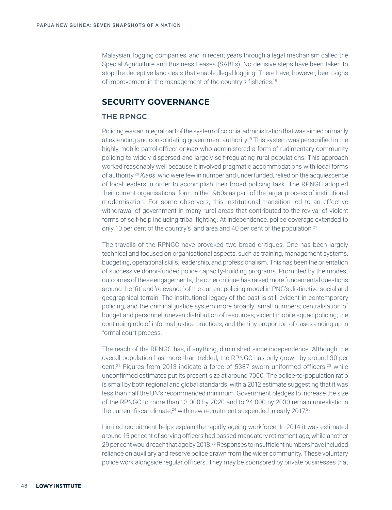Malaysian, logging companies, and in recent years through a legal mechanism called the Special Agriculture and Business Leases (SABLs). No decisive steps have been taken to stop the deceptive land deals that enable illegal logging. There have, however, been signs of improvement in the management of the country's fisheries.18

## **SECURITY GOVERNANCE**

#### **THE RPNGC**

Policing was an integral part of the system of colonial administration that was aimed primarily at extending and consolidating government authority.19 This system was personified in the highly mobile patrol officer or *kiap* who administered a form of rudimentary community policing to widely dispersed and largely self-regulating rural populations. This approach worked reasonably well because it involved pragmatic accommodations with local forms of authority.20 *Kiaps*, who were few in number and underfunded, relied on the acquiescence of local leaders in order to accomplish their broad policing task. The RPNGC adopted their current organisational form in the 1960s as part of the larger process of institutional modernisation. For some observers, this institutional transition led to an effective withdrawal of government in many rural areas that contributed to the revival of violent forms of self-help including tribal fighting. At independence, police coverage extended to only 10 per cent of the country's land area and 40 per cent of the population.<sup>21</sup>

The travails of the RPNGC have provoked two broad critiques. One has been largely technical and focused on organisational aspects, such as training, management systems, budgeting, operational skills, leadership, and professionalism. This has been the orientation of successive donor-funded police capacity-building programs. Prompted by the modest outcomes of these engagements, the other critique has raised more fundamental questions around the 'fit' and 'relevance' of the current policing model in PNG's distinctive social and geographical terrain. The institutional legacy of the past is still evident in contemporary policing, and the criminal justice system more broadly: small numbers; centralisation of budget and personnel; uneven distribution of resources; violent mobile squad policing; the continuing role of informal justice practices; and the tiny proportion of cases ending up in formal court process.

The reach of the RPNGC has, if anything, diminished since independence. Although the overall population has more than trebled, the RPNGC has only grown by around 30 per cent.<sup>22</sup> Figures from 2013 indicate a force of 5387 sworn uniformed officers,<sup>23</sup> while unconfirmed estimates put its present size at around 7000. The police-to-population ratio is small by both regional and global standards, with a 2012 estimate suggesting that it was less than half the UN's recommended minimum. Government pledges to increase the size of the RPNGC to more than 13 000 by 2020 and to 24 000 by 2030 remain unrealistic in the current fiscal climate, $24$  with new recruitment suspended in early 2017.<sup>25</sup>

Limited recruitment helps explain the rapidly ageing workforce. In 2014 it was estimated around 15 per cent of serving officers had passed mandatory retirement age, while another 29 per cent would reach that age by 2018.26 Responses to insufficient numbers have included reliance on auxiliary and reserve police drawn from the wider community. These voluntary police work alongside regular officers. They may be sponsored by private businesses that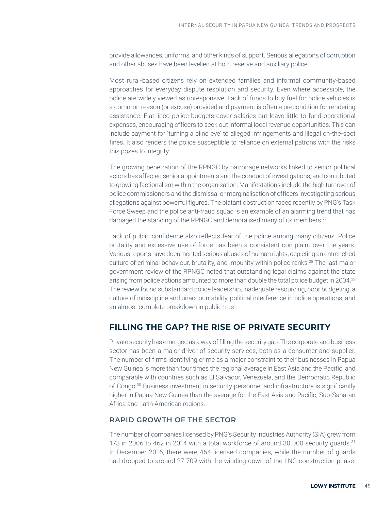provide allowances, uniforms, and other kinds of support. Serious allegations of corruption and other abuses have been levelled at both reserve and auxiliary police.

Most rural-based citizens rely on extended families and informal community-based approaches for everyday dispute resolution and security. Even where accessible, the police are widely viewed as unresponsive. Lack of funds to buy fuel for police vehicles is a common reason (or excuse) provided and payment is often a precondition for rendering assistance. Flat-lined police budgets cover salaries but leave little to fund operational expenses, encouraging officers to seek out informal local revenue opportunities. This can include payment for 'turning a blind eye' to alleged infringements and illegal on-the-spot fines. It also renders the police susceptible to reliance on external patrons with the risks this poses to integrity.

The growing penetration of the RPNGC by patronage networks linked to senior political actors has affected senior appointments and the conduct of investigations, and contributed to growing factionalism within the organisation. Manifestations include the high turnover of police commissioners and the dismissal or marginalisation of officers investigating serious allegations against powerful figures. The blatant obstruction faced recently by PNG's Task Force Sweep and the police anti-fraud squad is an example of an alarming trend that has damaged the standing of the RPNGC and demoralised many of its members.<sup>27</sup>

Lack of public confidence also reflects fear of the police among many citizens. Police brutality and excessive use of force has been a consistent complaint over the years. Various reports have documented serious abuses of human rights, depicting an entrenched culture of criminal behaviour, brutality, and impunity within police ranks.28 The last major government review of the RPNGC noted that outstanding legal claims against the state arising from police actions amounted to more than double the total police budget in 2004.29 The review found substandard police leadership, inadequate resourcing, poor budgeting, a culture of indiscipline and unaccountability, political interference in police operations, and an almost complete breakdown in public trust.

## **FILLING THE GAP? THE RISE OF PRIVATE SECURITY**

Private security has emerged as a way of filling the security gap. The corporate and business sector has been a major driver of security services, both as a consumer and supplier. The number of firms identifying crime as a major constraint to their businesses in Papua New Guinea is more than four times the regional average in East Asia and the Pacific, and comparable with countries such as El Salvador, Venezuela, and the Democratic Republic of Congo.30 Business investment in security personnel and infrastructure is significantly higher in Papua New Guinea than the average for the East Asia and Pacific, Sub-Saharan Africa and Latin American regions.

#### **RAPID GROWTH OF THE SECTOR**

The number of companies licensed by PNG's Security Industries Authority (SIA) grew from 173 in 2006 to 462 in 2014 with a total workforce of around 30 000 security quards.<sup>31</sup> In December 2016, there were 464 licensed companies, while the number of guards had dropped to around 27 709 with the winding down of the LNG construction phase.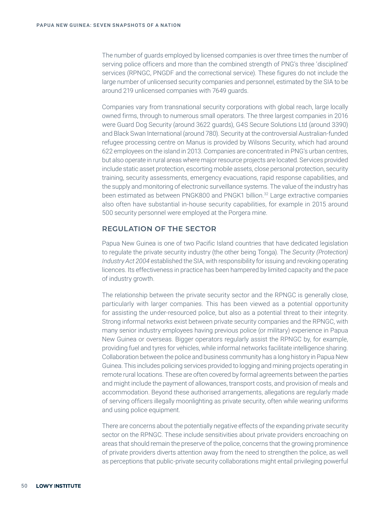The number of guards employed by licensed companies is over three times the number of serving police officers and more than the combined strength of PNG's three 'disciplined' services (RPNGC, PNGDF and the correctional service). These figures do not include the large number of unlicensed security companies and personnel, estimated by the SIA to be around 219 unlicensed companies with 7649 guards.

Companies vary from transnational security corporations with global reach, large locally owned firms, through to numerous small operators. The three largest companies in 2016 were Guard Dog Security (around 3622 guards), G4S Secure Solutions Ltd (around 3390) and Black Swan International (around 780). Security at the controversial Australian-funded refugee processing centre on Manus is provided by Wilsons Security, which had around 622 employees on the island in 2013. Companies are concentrated in PNG's urban centres, but also operate in rural areas where major resource projects are located. Services provided include static asset protection, escorting mobile assets, close personal protection, security training, security assessments, emergency evacuations, rapid response capabilities, and the supply and monitoring of electronic surveillance systems. The value of the industry has been estimated as between PNGK800 and PNGK1 billion.<sup>32</sup> Large extractive companies also often have substantial in-house security capabilities, for example in 2015 around 500 security personnel were employed at the Porgera mine.

#### **REGULATION OF THE SECTOR**

Papua New Guinea is one of two Pacific Island countries that have dedicated legislation to regulate the private security industry (the other being Tonga). The *Security (Protection) Industry Act 2004* established the SIA, with responsibility for issuing and revoking operating licences. Its effectiveness in practice has been hampered by limited capacity and the pace of industry growth.

The relationship between the private security sector and the RPNGC is generally close, particularly with larger companies. This has been viewed as a potential opportunity for assisting the under-resourced police, but also as a potential threat to their integrity. Strong informal networks exist between private security companies and the RPNGC, with many senior industry employees having previous police (or military) experience in Papua New Guinea or overseas. Bigger operators regularly assist the RPNGC by, for example, providing fuel and tyres for vehicles, while informal networks facilitate intelligence sharing. Collaboration between the police and business community has a long history in Papua New Guinea. This includes policing services provided to logging and mining projects operating in remote rural locations. These are often covered by formal agreements between the parties and might include the payment of allowances, transport costs, and provision of meals and accommodation. Beyond these authorised arrangements, allegations are regularly made of serving officers illegally moonlighting as private security, often while wearing uniforms and using police equipment.

There are concerns about the potentially negative effects of the expanding private security sector on the RPNGC. These include sensitivities about private providers encroaching on areas that should remain the preserve of the police, concerns that the growing prominence of private providers diverts attention away from the need to strengthen the police, as well as perceptions that public-private security collaborations might entail privileging powerful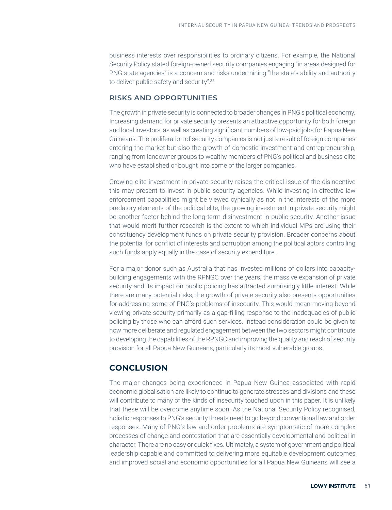business interests over responsibilities to ordinary citizens. For example, the National Security Policy stated foreign-owned security companies engaging "in areas designed for PNG state agencies" is a concern and risks undermining "the state's ability and authority to deliver public safety and security".<sup>33</sup>

#### **RISKS AND OPPORTUNITIES**

The growth in private security is connected to broader changes in PNG's political economy. Increasing demand for private security presents an attractive opportunity for both foreign and local investors, as well as creating significant numbers of low-paid jobs for Papua New Guineans. The proliferation of security companies is not just a result of foreign companies entering the market but also the growth of domestic investment and entrepreneurship, ranging from landowner groups to wealthy members of PNG's political and business elite who have established or bought into some of the larger companies.

Growing elite investment in private security raises the critical issue of the disincentive this may present to invest in public security agencies. While investing in effective law enforcement capabilities might be viewed cynically as not in the interests of the more predatory elements of the political elite, the growing investment in private security might be another factor behind the long-term disinvestment in public security. Another issue that would merit further research is the extent to which individual MPs are using their constituency development funds on private security provision. Broader concerns about the potential for conflict of interests and corruption among the political actors controlling such funds apply equally in the case of security expenditure.

For a major donor such as Australia that has invested millions of dollars into capacitybuilding engagements with the RPNGC over the years, the massive expansion of private security and its impact on public policing has attracted surprisingly little interest. While there are many potential risks, the growth of private security also presents opportunities for addressing some of PNG's problems of insecurity. This would mean moving beyond viewing private security primarily as a gap-filling response to the inadequacies of public policing by those who can afford such services. Instead consideration could be given to how more deliberate and regulated engagement between the two sectors might contribute to developing the capabilities of the RPNGC and improving the quality and reach of security provision for all Papua New Guineans, particularly its most vulnerable groups.

## **CONCLUSION**

The major changes being experienced in Papua New Guinea associated with rapid economic globalisation are likely to continue to generate stresses and divisions and these will contribute to many of the kinds of insecurity touched upon in this paper. It is unlikely that these will be overcome anytime soon. As the National Security Policy recognised, holistic responses to PNG's security threats need to go beyond conventional law and order responses. Many of PNG's law and order problems are symptomatic of more complex processes of change and contestation that are essentially developmental and political in character. There are no easy or quick fixes. Ultimately, a system of government and political leadership capable and committed to delivering more equitable development outcomes and improved social and economic opportunities for all Papua New Guineans will see a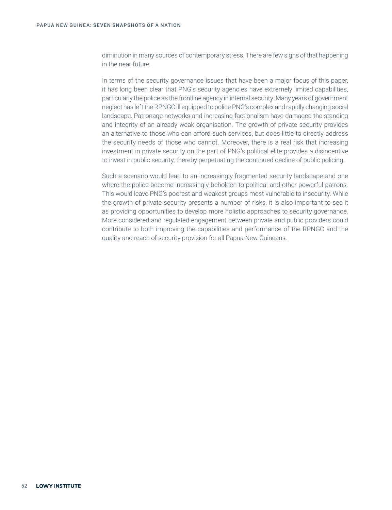diminution in many sources of contemporary stress. There are few signs of that happening in the near future.

In terms of the security governance issues that have been a major focus of this paper, it has long been clear that PNG's security agencies have extremely limited capabilities, particularly the police as the frontline agency in internal security. Many years of government neglect has left the RPNGC ill equipped to police PNG's complex and rapidly changing social landscape. Patronage networks and increasing factionalism have damaged the standing and integrity of an already weak organisation. The growth of private security provides an alternative to those who can afford such services, but does little to directly address the security needs of those who cannot. Moreover, there is a real risk that increasing investment in private security on the part of PNG's political elite provides a disincentive to invest in public security, thereby perpetuating the continued decline of public policing.

Such a scenario would lead to an increasingly fragmented security landscape and one where the police become increasingly beholden to political and other powerful patrons. This would leave PNG's poorest and weakest groups most vulnerable to insecurity. While the growth of private security presents a number of risks, it is also important to see it as providing opportunities to develop more holistic approaches to security governance. More considered and regulated engagement between private and public providers could contribute to both improving the capabilities and performance of the RPNGC and the quality and reach of security provision for all Papua New Guineans.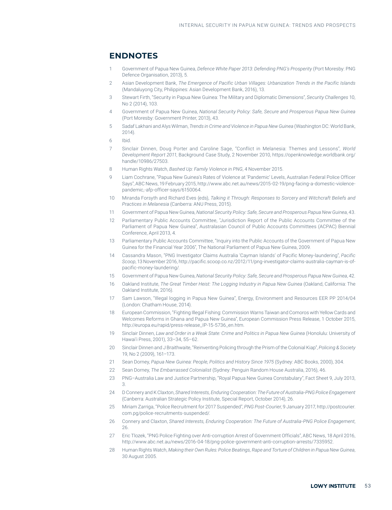#### **ENDNOTES**

- 1 Government of Papua New Guinea, *Defence White Paper 2013: Defending PNG's Prosperity* (Port Moresby: PNG Defence Organisation, 2013), 5.
- 2 Asian Development Bank, *The Emergence of Pacific Urban Villages: Urbanization Trends in the Pacific Islands*  (Mandaluyong City, Philippines: Asian Development Bank, 2016), 13.
- 3 Stewart Firth, "Security in Papua New Guinea: The Military and Diplomatic Dimensions", *Security Challenges* 10, No 2 (2014), 103.
- 4 Government of Papua New Guinea, *National Security Policy: Safe, Secure and Prosperous Papua New Guinea* (Port Moresby: Government Printer, 2013), 43.
- 5 Sadaf Lakhani and Alys Wilman, *Trends in Crime and Violence in Papua New Guinea* (Washington DC: World Bank, 2014).
- 6 Ibid.
- 7 Sinclair Dinnen, Doug Porter and Caroline Sage, "Conflict in Melanesia: Themes and Lessons", *World Development Report 2011*, Background Case Study, 2 November 2010, [https://openknowledge.worldbank.org/](https://openknowledge.worldbank.org/handle/10986/27503) [handle/10986/27503.](https://openknowledge.worldbank.org/handle/10986/27503)
- 8 Human Rights Watch, *Bashed Up: Family Violence in PNG*, 4 November 2015.
- 9 Liam Cochrane, "Papua New Guinea's Rates of Violence at 'Pandemic' Levels, Australian Federal Police Officer Says", ABC News, 19 February 2015, [http://www.abc.net.au/news/2015-02-19/png-facing-a-domestic-violence](http://www.abc.net.au/news/2015-02-19/png-facing-a-domestic-violence-pandemic,-afp-officer-says/6150064)[pandemic,-afp-officer-says/6150064.](http://www.abc.net.au/news/2015-02-19/png-facing-a-domestic-violence-pandemic,-afp-officer-says/6150064)
- 10 Miranda Forsyth and Richard Eves (eds), *Talking it Through: Responses to Sorcery and Witchcraft Beliefs and Practices in Melanesia* (Canberra: ANU Press, 2015).
- 11 Government of Papua New Guinea, *National Security Policy: Safe, Secure and Prosperous Papua New Guinea*, 43.
- 12 Parliamentary Public Accounts Committee, "Jurisdiction Report of the Public Accounts Committee of the Parliament of Papua New Guinea", Australasian Council of Public Accounts Committees (ACPAC) Biennial Conference, April 2013, 4.
- 13 Parliamentary Public Accounts Committee, "Inquiry into the Public Accounts of the Government of Papua New Guinea for the Financial Year 2006", The National Parliament of Papua New Guinea, 2009.
- 14 Cassandra Mason, "PNG Investigator Claims Australia 'Cayman Islands' of Pacific Money-laundering", *Pacific Scoop*, 13 November 2016, [http://pacific.scoop.co.nz/2012/11/png-investigator-claims-australia-cayman-is-of](http://pacific.scoop.co.nz/2012/11/png-investigator-claims-australia-cayman-is-of-pacific-money-laundering/)[pacific-money-laundering/.](http://pacific.scoop.co.nz/2012/11/png-investigator-claims-australia-cayman-is-of-pacific-money-laundering/)
- 15 Government of Papua New Guinea, *National Security Policy: Safe, Secure and Prosperous Papua New Guinea*, 42.
- 16 Oakland Institute, *The Great Timber Heist: The Logging Industry in Papua New Guinea* (Oakland, California: The Oakland Institute, 2016).
- 17 Sam Lawson, "Illegal logging in Papua New Guinea", Energy, Environment and Resources EER PP 2014/04 (London: Chatham House, 2014).
- 18 European Commission, "Fighting Illegal Fishing: Commission Warns Taiwan and Comoros with Yellow Cards and Welcomes Reforms in Ghana and Papua New Guinea", European Commission Press Release, 1 October 2015, [http://europa.eu/rapid/press-release\\_IP-15-5736\\_en.htm](http://europa.eu/rapid/press-release_IP-15-5736_en.htm).
- 19 Sinclair Dinnen, *Law and Order in a Weak State: Crime and Politics in Papua New Guinea* (Honolulu: University of Hawai'i Press, 2001), 33–34, 55–62.
- 20 Sinclair Dinnen and J Braithwaite, "Reinventing Policing through the Prism of the Colonial Kiap", *Policing & Society* 19, No 2 (2009), 161–173.
- 21 Sean Dorney, *Papua New Guinea: People, Politics and History Since 1975* (Sydney: ABC Books, 2000), 304.
- 22 Sean Dorney, *The Embarrassed Colonialist* (Sydney: Penguin Random House Australia, 2016), 46.
- 23 PNG–Australia Law and Justice Partnership, "Royal Papua New Guinea Constabulary", Fact Sheet 9, July 2013, 3.
- 24 D Connery and K Claxton, *Shared Interests, Enduring Cooperation: The Future of Australia-PNG Police Engagement* (Canberra: Australian Strategic Policy Institute, Special Report, October 2014), 26.
- 25 Miriam Zarriga, "Police Recruitment for 2017 Suspended", *PNG Post-Courier*, 9 January 2017, http://postcourier. com.pg/police-recruitments-suspended/.
- 26 Connery and Claxton, *Shared Interests, Enduring Cooperation: The Future of Australia-PNG Police Engagement*, 26.
- 27 Eric Tlozek, "PNG Police Fighting over Anti-corruption Arrest of Government Officials", ABC News, 18 April 2016, http://www.abc.net.au/news/2016-04-18/png-police-government-anti-corruption-arrests/7335952.
- 28 Human Rights Watch, *Making their Own Rules: Police Beatings, Rape and Torture of Children in Papua New Guinea*, 30 August 2005.